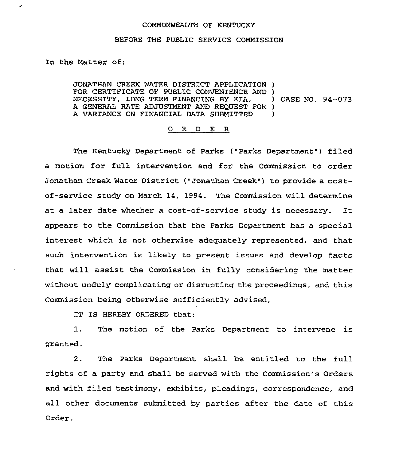## COMMONWEALTH OF KENTUCKY

## BEFORE THE PUBLIC SERVICE COMMISSION

In the Matter of:

JONATHAN CREEK WATER DISTRICT APPLICATION ) FOR CERTIFICATE OF PUBLIC CONVENIENCE AND )<br>NECESSITY, LONG TERM FINANCING BY KIA, ) CASE NO. 94-073 NECESSITY, LONG TERM FINANCING BY KIA, A GENERAL RATE ADJUSTMENT AND REQUEST FOR ) A VARIANCE ON FINANCIAL DATA SUBMITTED )

## 0 R <sup>D</sup> E R

The Kentucky Department of Parks ("Parks Department") filed a motion for full intervention and for the Commission to order Jonathan Creek Water District ("Jonathan Creek" ) to provide a costof-service study on March 14, 1994. The Commission will determine at <sup>a</sup> later date whether <sup>a</sup> cost-of-service study is necessary. It appears to the Commission that the Parks Department has a special interest which is not otherwise adequately represented, and that such intervention is likely to present issues and develop facts that will assist the Commission in fully considering the matter without unduly complicating or disrupting the proceedings, and this Commission being otherwise sufficiently advised,

IT IS HEREBY ORDERED that:

1. The motion of the Parks Department to intervene is granted.

2. The Parks Department shall be entitled to the full rights of a party and shall be served with the Commission's Orders and with filed testimony, exhibits, pleadings, correspondence, and all other documents submitted by parties after the date of this Order.